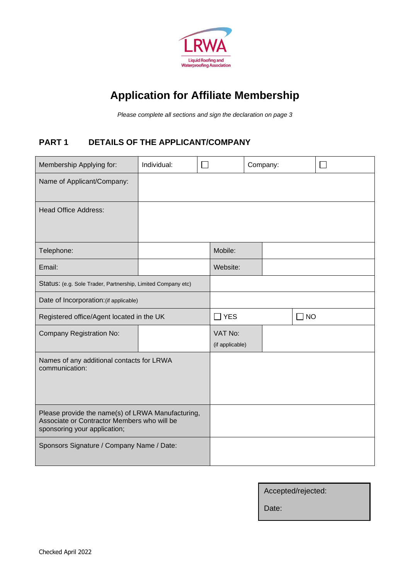

# **Application for Affiliate Membership**

*Please complete all sections and sign the declaration on page 3*

### **PART 1 DETAILS OF THE APPLICANT/COMPANY**

| Membership Applying for:                                                                                                         | Individual: |            |                            | Company:  |  |  |
|----------------------------------------------------------------------------------------------------------------------------------|-------------|------------|----------------------------|-----------|--|--|
| Name of Applicant/Company:                                                                                                       |             |            |                            |           |  |  |
| <b>Head Office Address:</b>                                                                                                      |             |            |                            |           |  |  |
| Telephone:                                                                                                                       |             |            | Mobile:                    |           |  |  |
| Email:                                                                                                                           |             |            | Website:                   |           |  |  |
| Status: (e.g. Sole Trader, Partnership, Limited Company etc)                                                                     |             |            |                            |           |  |  |
| Date of Incorporation: (if applicable)                                                                                           |             |            |                            |           |  |  |
| Registered office/Agent located in the UK                                                                                        |             | $\Box$ YES |                            | $\Box$ NO |  |  |
| <b>Company Registration No:</b>                                                                                                  |             |            | VAT No:<br>(if applicable) |           |  |  |
| Names of any additional contacts for LRWA<br>communication:                                                                      |             |            |                            |           |  |  |
| Please provide the name(s) of LRWA Manufacturing,<br>Associate or Contractor Members who will be<br>sponsoring your application; |             |            |                            |           |  |  |
| Sponsors Signature / Company Name / Date:                                                                                        |             |            |                            |           |  |  |

| Accepted/rejected: |  |
|--------------------|--|
|--------------------|--|

Date: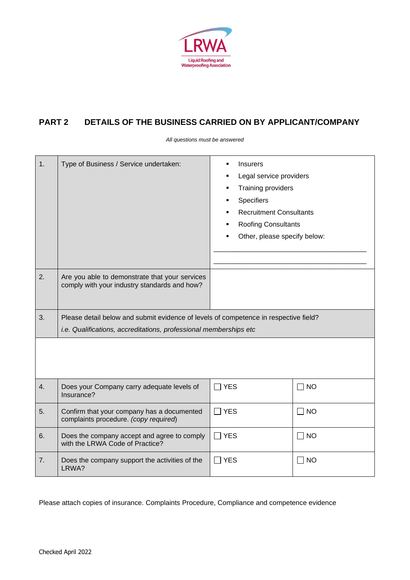

### **PART 2 DETAILS OF THE BUSINESS CARRIED ON BY APPLICANT/COMPANY**

*All questions must be answered*

| 1. | Type of Business / Service undertaken:                                                         | <b>Insurers</b><br>$\blacksquare$<br>Legal service providers<br>Training providers<br>Specifiers<br><b>Recruitment Consultants</b><br><b>Roofing Consultants</b><br>Other, please specify below: |             |
|----|------------------------------------------------------------------------------------------------|--------------------------------------------------------------------------------------------------------------------------------------------------------------------------------------------------|-------------|
| 2. | Are you able to demonstrate that your services<br>comply with your industry standards and how? |                                                                                                                                                                                                  |             |
| 3. | Please detail below and submit evidence of levels of competence in respective field?           |                                                                                                                                                                                                  |             |
|    | i.e. Qualifications, accreditations, professional memberships etc                              |                                                                                                                                                                                                  |             |
|    |                                                                                                |                                                                                                                                                                                                  |             |
| 4. | Does your Company carry adequate levels of<br>Insurance?                                       | $\Box$ YES                                                                                                                                                                                       | $\Box$ NO   |
| 5. | Confirm that your company has a documented<br>complaints procedure. (copy required)            | <b>YES</b>                                                                                                                                                                                       | $\sqcap$ NO |
| 6. | Does the company accept and agree to comply<br>with the LRWA Code of Practice?                 | 7 YES                                                                                                                                                                                            | $\Box$ NO   |
| 7. | Does the company support the activities of the<br>LRWA?                                        | $\exists$ YES                                                                                                                                                                                    | $\Box$ NO   |

Please attach copies of insurance. Complaints Procedure, Compliance and competence evidence